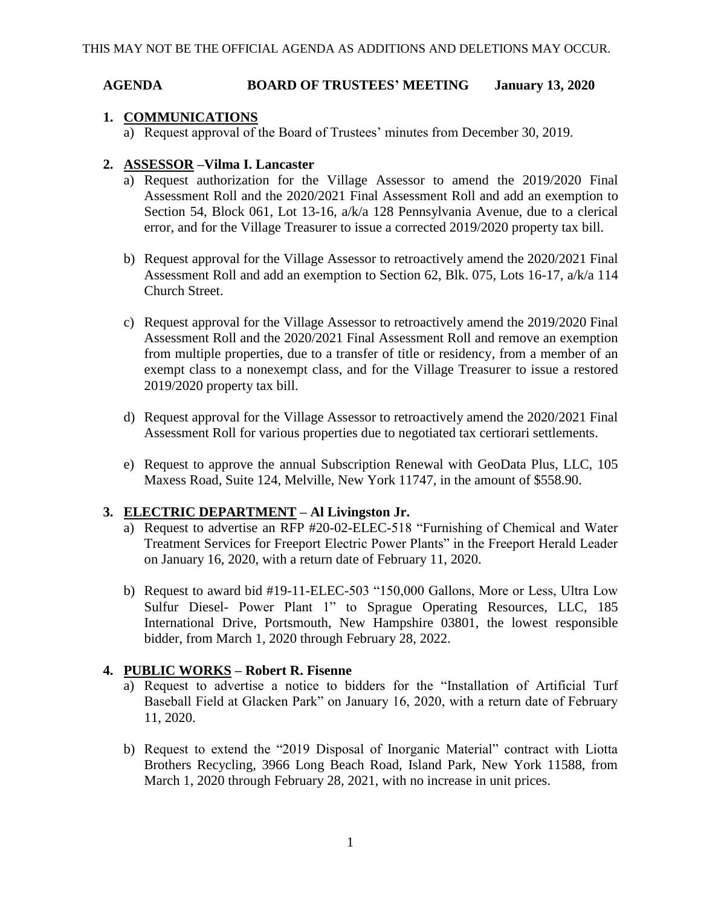### **AGENDA BOARD OF TRUSTEES' MEETING January 13, 2020**

### **1. COMMUNICATIONS**

a) Request approval of the Board of Trustees' minutes from December 30, 2019.

### **2. ASSESSOR –Vilma I. Lancaster**

- a) Request authorization for the Village Assessor to amend the 2019/2020 Final Assessment Roll and the 2020/2021 Final Assessment Roll and add an exemption to Section 54, Block 061, Lot 13-16, a/k/a 128 Pennsylvania Avenue, due to a clerical error, and for the Village Treasurer to issue a corrected 2019/2020 property tax bill.
- b) Request approval for the Village Assessor to retroactively amend the 2020/2021 Final Assessment Roll and add an exemption to Section 62, Blk. 075, Lots 16-17, a/k/a 114 Church Street.
- c) Request approval for the Village Assessor to retroactively amend the 2019/2020 Final Assessment Roll and the 2020/2021 Final Assessment Roll and remove an exemption from multiple properties, due to a transfer of title or residency, from a member of an exempt class to a nonexempt class, and for the Village Treasurer to issue a restored 2019/2020 property tax bill.
- d) Request approval for the Village Assessor to retroactively amend the 2020/2021 Final Assessment Roll for various properties due to negotiated tax certiorari settlements.
- e) Request to approve the annual Subscription Renewal with GeoData Plus, LLC, 105 Maxess Road, Suite 124, Melville, New York 11747, in the amount of \$558.90.

# **3. ELECTRIC DEPARTMENT – Al Livingston Jr.**

- a) Request to advertise an RFP #20-02-ELEC-518 "Furnishing of Chemical and Water Treatment Services for Freeport Electric Power Plants" in the Freeport Herald Leader on January 16, 2020, with a return date of February 11, 2020.
- b) Request to award bid #19-11-ELEC-503 "150,000 Gallons, More or Less, Ultra Low Sulfur Diesel- Power Plant 1" to Sprague Operating Resources, LLC, 185 International Drive, Portsmouth, New Hampshire 03801, the lowest responsible bidder, from March 1, 2020 through February 28, 2022.

# **4. PUBLIC WORKS – Robert R. Fisenne**

- a) Request to advertise a notice to bidders for the "Installation of Artificial Turf Baseball Field at Glacken Park" on January 16, 2020, with a return date of February 11, 2020.
- b) Request to extend the "2019 Disposal of Inorganic Material" contract with Liotta Brothers Recycling, 3966 Long Beach Road, Island Park, New York 11588, from March 1, 2020 through February 28, 2021, with no increase in unit prices.